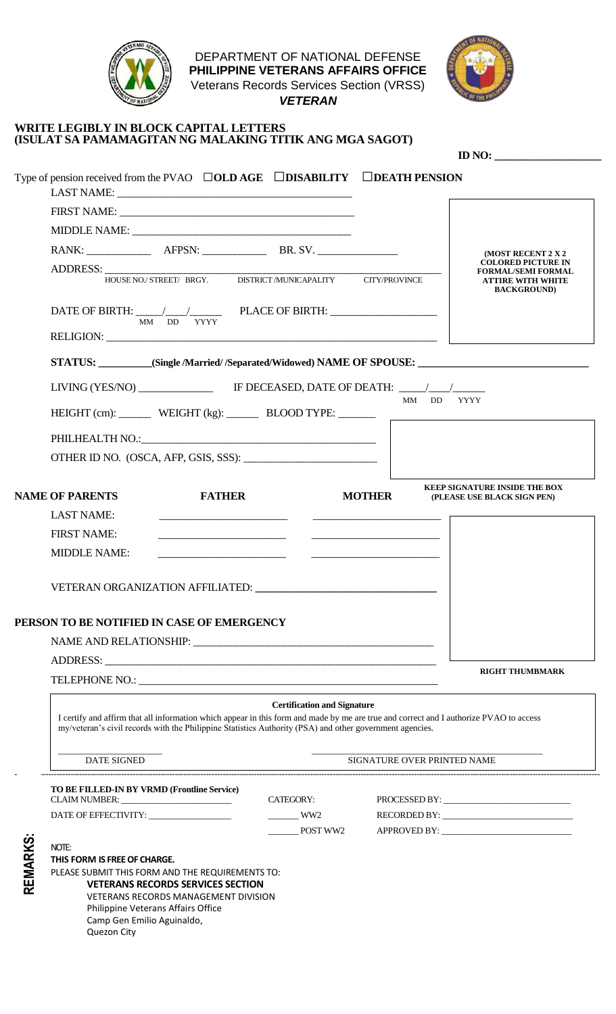



### **WRITE LEGIBLY IN BLOCK CAPITAL LETTERS (ISULAT SA PAMAMAGITAN NG MALAKING TITIK ANG MGA SAGOT)**

|          |                                                                                                                                                                                                                                                                                          |                                                                                                                       |               | ID NO:                                                                                                  |
|----------|------------------------------------------------------------------------------------------------------------------------------------------------------------------------------------------------------------------------------------------------------------------------------------------|-----------------------------------------------------------------------------------------------------------------------|---------------|---------------------------------------------------------------------------------------------------------|
|          | Type of pension received from the PVAO $\Box$ OLD AGE $\Box$ DISABILITY $\Box$ DEATH PENSION                                                                                                                                                                                             |                                                                                                                       |               |                                                                                                         |
|          |                                                                                                                                                                                                                                                                                          |                                                                                                                       |               |                                                                                                         |
|          |                                                                                                                                                                                                                                                                                          |                                                                                                                       |               |                                                                                                         |
|          |                                                                                                                                                                                                                                                                                          |                                                                                                                       |               | <b>MOST RECENT 2 X 2</b>                                                                                |
|          | ADDRESS: HOUSE NO./ STREET/ BRGY. DISTRICT /MUNICAPALITY CITY/PROVINCE                                                                                                                                                                                                                   |                                                                                                                       |               | <b>COLORED PICTURE IN</b><br><b>FORMAL/SEMI FORMAL</b><br><b>ATTIRE WITH WHITE</b><br><b>BACKGROUND</b> |
|          | MM DD<br><b>YYYY</b>                                                                                                                                                                                                                                                                     |                                                                                                                       |               |                                                                                                         |
|          |                                                                                                                                                                                                                                                                                          |                                                                                                                       |               |                                                                                                         |
|          | STATUS: __________(Single /Married/ /Separated/Widowed) NAME OF SPOUSE: ____________________________                                                                                                                                                                                     |                                                                                                                       |               |                                                                                                         |
|          |                                                                                                                                                                                                                                                                                          |                                                                                                                       |               |                                                                                                         |
|          | HEIGHT (cm): WEIGHT (kg): BLOOD TYPE: ______                                                                                                                                                                                                                                             |                                                                                                                       | MM DD YYYY    | <u> 1980 - Antonio Alemania, politikar politikar (h. 1980)</u>                                          |
|          |                                                                                                                                                                                                                                                                                          |                                                                                                                       |               |                                                                                                         |
|          |                                                                                                                                                                                                                                                                                          |                                                                                                                       |               |                                                                                                         |
|          | <b>NAME OF PARENTS</b><br><b>FATHER</b>                                                                                                                                                                                                                                                  |                                                                                                                       | <b>MOTHER</b> | <b>KEEP SIGNATURE INSIDE THE BOX</b><br>(PLEASE USE BLACK SIGN PEN)                                     |
|          | <b>LAST NAME:</b>                                                                                                                                                                                                                                                                        | <u> 1980 - Johann Barbara, martin amerikan basal dan berasal dalam basal dalam basal dalam basal dalam basal dala</u> |               |                                                                                                         |
|          | <b>FIRST NAME:</b>                                                                                                                                                                                                                                                                       | <u> 1989 - Johann Stein, Amerikaansk politiker (</u>                                                                  |               |                                                                                                         |
|          | <b>MIDDLE NAME:</b>                                                                                                                                                                                                                                                                      |                                                                                                                       |               |                                                                                                         |
|          |                                                                                                                                                                                                                                                                                          | <u> 2000 - Jan James James James James James James James James James James James James James James James James J</u>  |               |                                                                                                         |
|          | VETERAN ORGANIZATION AFFILIATED: UNITS AND A SERIES AND A SERIES AND A SERIES OF STATISTICS.                                                                                                                                                                                             |                                                                                                                       |               |                                                                                                         |
|          | PERSON TO BE NOTIFIED IN CASE OF EMERGENCY                                                                                                                                                                                                                                               |                                                                                                                       |               |                                                                                                         |
|          |                                                                                                                                                                                                                                                                                          |                                                                                                                       |               |                                                                                                         |
|          |                                                                                                                                                                                                                                                                                          |                                                                                                                       |               |                                                                                                         |
|          |                                                                                                                                                                                                                                                                                          |                                                                                                                       |               | <b>RIGHT THUMBMARK</b>                                                                                  |
|          |                                                                                                                                                                                                                                                                                          |                                                                                                                       |               |                                                                                                         |
|          | <b>Certification and Signature</b><br>I certify and affirm that all information which appear in this form and made by me are true and correct and I authorize PVAO to access<br>my/veteran's civil records with the Philippine Statistics Authority (PSA) and other government agencies. |                                                                                                                       |               |                                                                                                         |
|          | SIGNATURE OVER PRINTED NAME<br><b>DATE SIGNED</b>                                                                                                                                                                                                                                        |                                                                                                                       |               |                                                                                                         |
|          | TO BE FILLED-IN BY VRMD (Frontline Service)                                                                                                                                                                                                                                              |                                                                                                                       |               |                                                                                                         |
|          | DATE OF EFFECTIVITY:                                                                                                                                                                                                                                                                     | <b>CATEGORY:</b><br>WW2                                                                                               |               | RECORDED BY:                                                                                            |
|          |                                                                                                                                                                                                                                                                                          | POST WW2                                                                                                              |               |                                                                                                         |
| REMARKS: | NOTE:<br>THIS FORM IS FREE OF CHARGE.<br>PLEASE SUBMIT THIS FORM AND THE REQUIREMENTS TO:<br><b>VETERANS RECORDS SERVICES SECTION</b><br>VETERANS RECORDS MANAGEMENT DIVISION<br>Philippine Veterans Affairs Office<br>Camp Gen Emilio Aguinaldo,<br>Quezon City                         |                                                                                                                       |               |                                                                                                         |